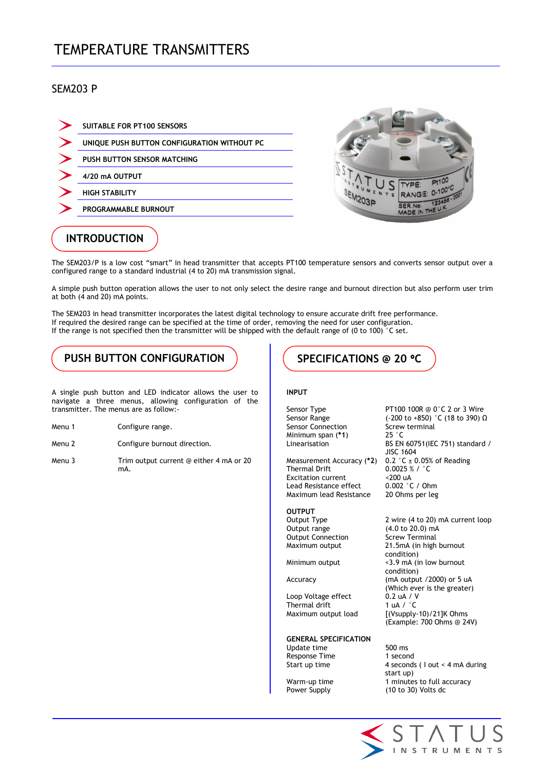# TEMPERATURE TRANSMITTERS

### SEM203 P

| <b>SUITABLE FOR PT100 SENSORS</b>           |
|---------------------------------------------|
| UNIQUE PUSH BUTTON CONFIGURATION WITHOUT PC |
| <b>PUSH BUTTON SENSOR MATCHING</b>          |
| 4/20 mA OUTPUT                              |
| <b>HIGH STABILITY</b>                       |
| PROGRAMMABLE BURNOUT                        |
|                                             |



## INTRODUCTION

The SEM203/P is a low cost "smart" in head transmitter that accepts PT100 temperature sensors and converts sensor output over a configured range to a standard industrial (4 to 20) mA transmission signal.

A simple push button operation allows the user to not only select the desire range and burnout direction but also perform user trim at both (4 and 20) mA points.

The SEM203 in head transmitter incorporates the latest digital technology to ensure accurate drift free performance. If required the desired range can be specified at the time of order, removing the need for user configuration. If the range is not specified then the transmitter will be shipped with the default range of (0 to 100) °C set.

## PUSH BUTTON CONFIGURATION  $\parallel$  ( specifications @ 20 °C)

A single push button and LED indicator allows the user to navigate a three menus, allowing configuration of the transmitter. The menus are as follow:-

- Menu 1 Configure range.
- Menu 2 Configure burnout direction.
- Menu 3 Trim output current @ either 4 mA or 20 mA.

#### INPUT

Sensor Connection Screw<br>
Minimum span (\*1) 25 °C Minimum span  $(*1)$ 

Measurement Accuracy (\*2) Thermal Drift  $0.0025 %$  / °C<br>Excitation current  $\leq 200$  uA Excitation current <200 uA<br>Lead Resistance effect 0.002 °C / Ohm Lead Resistance effect Maximum lead Resistance 20 Ohms per leg

**OUTPUT**<br>Output Type Output range (4.0 to 20.0) mA<br>
Output Connection Screw Terminal Output Connection

Loop Voltage effect 0.2 uA / V<br>Thermal drift 1 uA / °C Thermal drift

GENERAL SPECIFICATION

Update time 500 ms Response Time 1 second

Sensor Type **PT100 100R** @ 0°C 2 or 3 Wire Sensor Range (-200 to +850) °C (18 to 390) Ω<br>Sensor Connection Screw terminal Linearisation BS EN 60751(IEC 751) standard / JISC 1604<br>0.2 °C ± 0.05% of Reading

2 wire (4 to 20) mA current loop Maximum output 21.5mA (in high burnout condition) Minimum output <3.9 mA (in low burnout condition) Accuracy (mA output /2000) or 5 uA (Which ever is the greater)<br>0.2 uA / V Maximum output load [(Vsupply-10)/21]K Ohms (Example: 700 Ohms @ 24V)

Start up time 4 seconds ( I out < 4 mA during start up) Warm-up time 1 minutes to full accuracy Power Supply (10 to 30) Volts dc